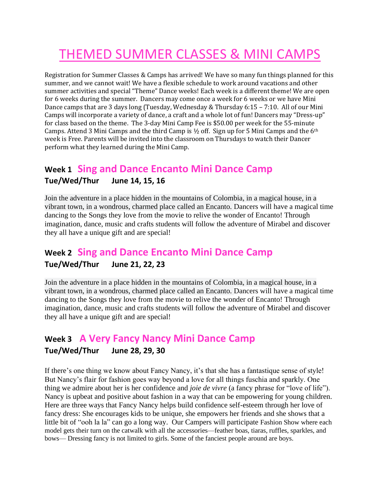# THEMED SUMMER CLASSES & MINI CAMPS

Registration for Summer Classes & Camps has arrived! We have so many fun things planned for this summer, and we cannot wait! We have a flexible schedule to work around vacations and other summer activities and special "Theme" Dance weeks! Each week is a different theme! We are open for 6 weeks during the summer. Dancers may come once a week for 6 weeks or we have Mini Dance camps that are 3 days long (Tuesday, Wednesday & Thursday 6:15 – 7:10. All of our Mini Camps will incorporate a variety of dance, a craft and a whole lot of fun! Dancers may "Dress-up" for class based on the theme. The 3-day Mini Camp Fee is \$50.00 per week for the 55-minute Camps. Attend 3 Mini Camps and the third Camp is  $\frac{1}{2}$  off. Sign up for 5 Mini Camps and the 6<sup>th</sup> week is Free. Parents will be invited into the classroom on Thursdays to watch their Dancer perform what they learned during the Mini Camp.

## **Week 1 Sing and Dance Encanto Mini Dance Camp**

#### **Tue/Wed/Thur June 14, 15, 16**

Join the adventure in a place hidden in the mountains of Colombia, in a magical house, in a vibrant town, in a wondrous, charmed place called an Encanto. Dancers will have a magical time dancing to the Songs they love from the movie to relive the wonder of Encanto! Through imagination, dance, music and crafts students will follow the adventure of Mirabel and discover they all have a unique gift and are special!

# **Week 2 Sing and Dance Encanto Mini Dance Camp**

## **Tue/Wed/Thur June 21, 22, 23**

Join the adventure in a place hidden in the mountains of Colombia, in a magical house, in a vibrant town, in a wondrous, charmed place called an Encanto. Dancers will have a magical time dancing to the Songs they love from the movie to relive the wonder of Encanto! Through imagination, dance, music and crafts students will follow the adventure of Mirabel and discover they all have a unique gift and are special!

## **Week 3 A Very Fancy Nancy Mini Dance Camp**

#### **Tue/Wed/Thur June 28, 29, 30**

If there's one thing we know about Fancy Nancy, it's that she has a fantastique sense of style! But Nancy's flair for fashion goes way beyond a love for all things fuschia and sparkly. One thing we admire about her is her confidence and *joie de vivre* (a fancy phrase for "love of life"). Nancy is upbeat and positive about fashion in a way that can be empowering for young children. Here are three ways that Fancy Nancy helps build confidence self-esteem through her love of fancy dress: She encourages kids to be unique, she empowers her friends and she shows that a little bit of ["ooh la la"](https://disneynow.go.com/shows/fancy-nancy/video/music-video-plain-and-fancy/vdka4655751?pid=PL554083840) can go a long way. Our Campers will participate Fashion Show where each model gets their turn on the catwalk with all the accessories—feather boas, tiaras, ruffles, sparkles, and bows— Dressing fancy is not limited to girls. Some of the fanciest people around are boys.